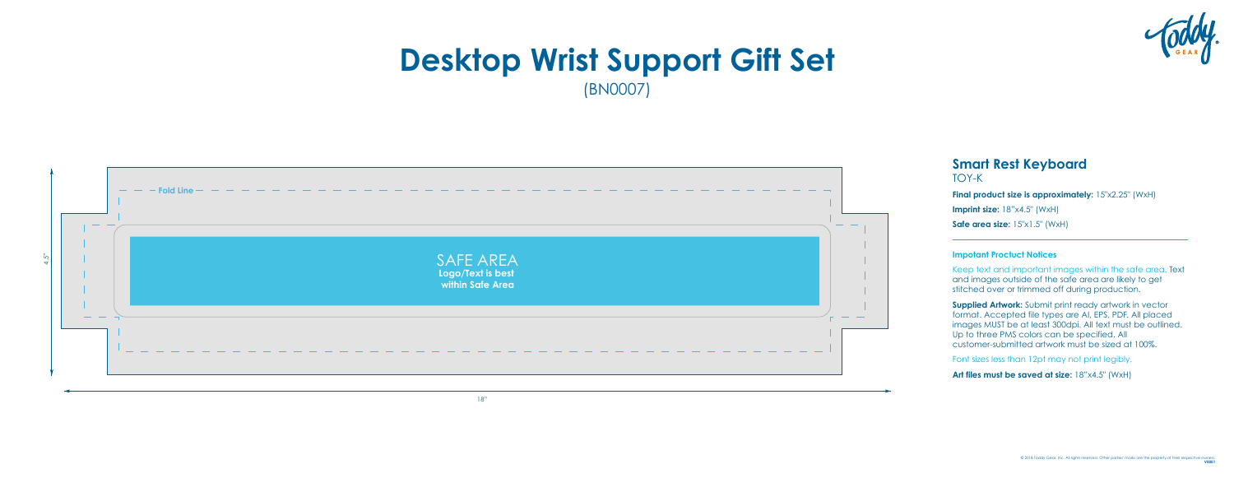# **Smart Rest Keyboard** TOY-K

**Final product size is approximately:** 15"x2.25" (WxH) **Imprint size:** 18"x4.5" (WxH) **Safe area size:**  $15"x1.5"$  (WxH)

## **Impotant Proctuct Notices**

Keep text and important images within the safe area. Text and images outside of the safe area are likely to get stitched over or trimmed off during production.

**Supplied Artwork:** Submit print ready artwork in vector format. Accepted file types are AI, EPS, PDF. All placed images MUST be at least 300dpi. All text must be outlined. Up to three PMS colors can be specified. All customer-submitted artwork must be sized at 100%.

Font sizes less than 12pt may not print legibly.

Art files must be saved at size:  $18"x4.5"$  (WxH)



# **Desktop Wrist Support Gift Set** (BN0007)

18"